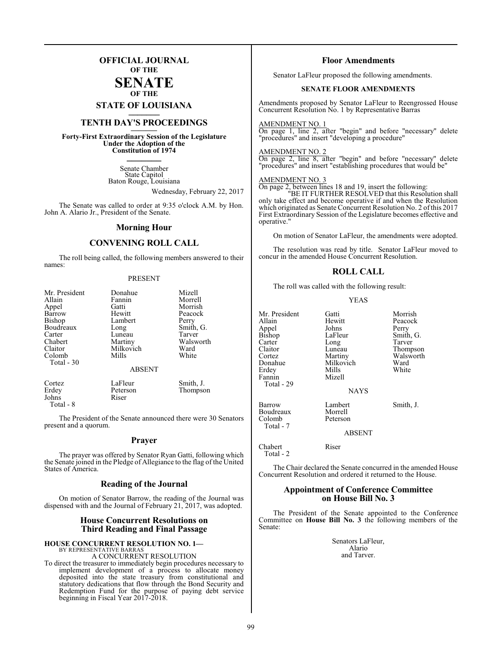## **OFFICIAL JOURNAL OF THE**

**SENATE OF THE**

**STATE OF LOUISIANA \_\_\_\_\_\_\_**

## **TENTH DAY'S PROCEEDINGS \_\_\_\_\_\_\_**

**Forty-First Extraordinary Session of the Legislature Under the Adoption of the Constitution of 1974 \_\_\_\_\_\_\_**

> Senate Chamber State Capitol Baton Rouge, Louisiana

> > Wednesday, February 22, 2017

The Senate was called to order at 9:35 o'clock A.M. by Hon. John A. Alario Jr., President of the Senate.

#### **Morning Hour**

## **CONVENING ROLL CALL**

The roll being called, the following members answered to their names:

#### PRESENT

| Mr. President | Donahue   | Mizell    |  |  |
|---------------|-----------|-----------|--|--|
| Allain        | Fannin    | Morrell   |  |  |
| Appel         | Gatti     | Morrish   |  |  |
| Barrow        | Hewitt    | Peacock   |  |  |
| Bishop        | Lambert   | Perry     |  |  |
| Boudreaux     | Long      | Smith, G. |  |  |
| Carter        | Luneau    | Tarver    |  |  |
| Chabert       | Martiny   | Walsworth |  |  |
| Claitor       | Milkovich | Ward      |  |  |
| Colomb        | Mills     | White     |  |  |
| Total $-30$   |           |           |  |  |
| <b>ABSENT</b> |           |           |  |  |
| Cortez        | LaFleur   | Smith, J. |  |  |
| Erdey         | Peterson  | Thompson  |  |  |
| Johns         | Riser     |           |  |  |

Total - 8

The President of the Senate announced there were 30 Senators present and a quorum.

#### **Prayer**

The prayer was offered by Senator Ryan Gatti, following which the Senate joined in the Pledge of Allegiance to the flag of the United States of America.

#### **Reading of the Journal**

On motion of Senator Barrow, the reading of the Journal was dispensed with and the Journal of February 21, 2017, was adopted.

#### **House Concurrent Resolutions on Third Reading and Final Passage**

## **HOUSE CONCURRENT RESOLUTION NO. 1—** BY REPRESENTATIVE BARRAS A CONCURRENT RESOLUTION

To direct the treasurer to immediately begin procedures necessary to implement development of a process to allocate money deposited into the state treasury from constitutional and statutory dedications that flow through the Bond Security and Redemption Fund for the purpose of paying debt service beginning in Fiscal Year 2017-2018.

#### **Floor Amendments**

Senator LaFleur proposed the following amendments.

#### **SENATE FLOOR AMENDMENTS**

Amendments proposed by Senator LaFleur to Reengrossed House Concurrent Resolution No. 1 by Representative Barras

AMENDMENT NO. 1

On page 1, line 2, after "begin" and before "necessary" delete "procedures" and insert "developing a procedure"

#### AMENDMENT NO. 2

On page 2, line 8, after "begin" and before "necessary" delete "procedures" and insert "establishing procedures that would be"

#### AMENDMENT NO. 3

On page 2, between lines 18 and 19, insert the following:

"BE IT FURTHER RESOLVED that this Resolution shall only take effect and become operative if and when the Resolution which originated as Senate Concurrent Resolution No. 2 ofthis 2017 First Extraordinary Session of the Legislature becomes effective and operative."

On motion of Senator LaFleur, the amendments were adopted.

The resolution was read by title. Senator LaFleur moved to concur in the amended House Concurrent Resolution.

#### **ROLL CALL**

The roll was called with the following result:

#### YEAS

Mr. President Gatti Morrish<br>Allain Hewitt Peacock Appel Johns<br>Bishop LaFleur Bishop LaFleur Smith, G.<br>Carter Long Tarver Carter Long<br>Claitor Luneau Claitor Luneau Thompson<br>Cortez Martiny Walsworth Cortez Martiny Walsworth<br>
Donahue Milkovich Ward Erdey<br>Fannin Total - 29 Barrow Lambert Smith, J. Boudreaux<br>Colomb Total - 7

Total - 2

Hewitt Peacock<br>Johns Perry Milkovich Ward<br>
Mills White

NAYS

Peterson ABSENT

Mizell

Chabert Riser

The Chair declared the Senate concurred in the amended House Concurrent Resolution and ordered it returned to the House.

#### **Appointment of Conference Committee on House Bill No. 3**

The President of the Senate appointed to the Conference Committee on **House Bill No. 3** the following members of the Senate:

> Senators LaFleur, Alario and Tarver.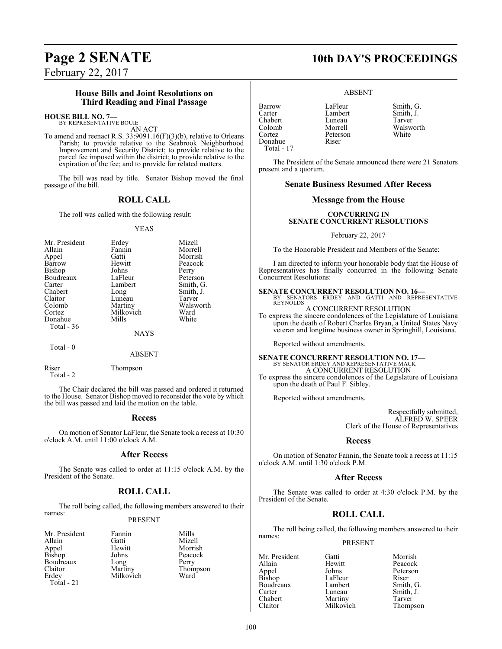February 22, 2017

## **House Bills and Joint Resolutions on Third Reading and Final Passage**

#### **HOUSE BILL NO. 7—** BY REPRESENTATIVE BOUIE

AN ACT

To amend and reenact R.S. 33:9091.16(F)(3)(b), relative to Orleans Parish; to provide relative to the Seabrook Neighborhood Improvement and Security District; to provide relative to the parcel fee imposed within the district; to provide relative to the expiration of the fee; and to provide for related matters.

The bill was read by title. Senator Bishop moved the final passage of the bill.

## **ROLL CALL**

The roll was called with the following result:

#### YEAS

| Mr. President | Erdey       | Mizell    |
|---------------|-------------|-----------|
| Allain        | Fannin      | Morrell   |
| Appel         | Gatti       | Morrish   |
| Barrow        | Hewitt      | Peacock   |
| Bishop        | Johns       | Perry     |
| Boudreaux     | LaFleur     | Peterson  |
| Carter        | Lambert     | Smith, G. |
| Chabert       | Long        | Smith, J. |
| Claitor       | Luneau      | Tarver    |
| Colomb        | Martiny     | Walsworth |
| Cortez        | Milkovich   | Ward      |
| Donahue       | Mills       | White     |
| Total $-36$   |             |           |
|               | <b>NAYS</b> |           |

 $Total - 0$ 

#### ABSENT

Riser Thompson

Total - 2

The Chair declared the bill was passed and ordered it returned to the House. Senator Bishop moved to reconsider the vote by which the bill was passed and laid the motion on the table.

#### **Recess**

On motion of Senator LaFleur, the Senate took a recess at 10:30 o'clock A.M. until 11:00 o'clock A.M.

#### **After Recess**

The Senate was called to order at 11:15 o'clock A.M. by the President of the Senate.

## **ROLL CALL**

The roll being called, the following members answered to their names:

#### PRESENT

| Mr. President   | Fannin    | Mills |
|-----------------|-----------|-------|
| Allain          | Gatti     | Mize  |
|                 | Hewitt    | Morr  |
| Appel<br>Bishop | Johns     | Peaco |
| Boudreaux       | Long      | Perry |
| Claitor         | Martiny   | Thon  |
| Erdey           | Milkovich | Ward  |
| Total - 21      |           |       |

Gatti Mizell<br>Hewitt Morris Hewitt Morrish<br>Johns Peacock Milkovich

Peacock<br>Perry

Thompson<br>Ward

# **Page 2 SENATE 10th DAY'S PROCEEDINGS**

#### ABSENT

Barrow LaFleur Smith, G.<br>Carter Lambert Smith I Carter Lambert Smith, J. Chabert Luneau<br>Colomb Morrell Colomb Morrell Walsworth Donahue Riser Total - 17

Peterson

The President of the Senate announced there were 21 Senators present and a quorum.

#### **Senate Business Resumed After Recess**

#### **Message from the House**

#### **CONCURRING IN SENATE CONCURRENT RESOLUTIONS**

February 22, 2017

To the Honorable President and Members of the Senate:

I am directed to inform your honorable body that the House of Representatives has finally concurred in the following Senate Concurrent Resolutions:

**SENATE CONCURRENT RESOLUTION NO. 16—**<br>BY SENATORS ERDEY AND GATTI AND REPRESENTATIVE **REYNOLDS** 

A CONCURRENT RESOLUTION

To express the sincere condolences of the Legislature of Louisiana upon the death of Robert Charles Bryan, a United States Navy veteran and longtime business owner in Springhill, Louisiana.

Reported without amendments.

## **SENATE CONCURRENT RESOLUTION NO. 17—** BY SENATOR ERDEY AND REPRESENTATIVE MACK A CONCURRENT RESOLUTION

To express the sincere condolences of the Legislature of Louisiana upon the death of Paul F. Sibley.

Reported without amendments.

Respectfully submitted, ALFRED W. SPEER Clerk of the House of Representatives

#### **Recess**

On motion of Senator Fannin, the Senate took a recess at 11:15 o'clock A.M. until 1:30 o'clock P.M.

#### **After Recess**

The Senate was called to order at 4:30 o'clock P.M. by the President of the Senate.

## **ROLL CALL**

The roll being called, the following members answered to their names:

PRESENT

Allain Hewitt Peacock Appel Johns Peterson<br>Bishop LaFleur Riser Boudreaux Lambert<br>Carter Luneau Carter Luneau Smith, J.<br>
Chabert Martiny Tarver Chabert Martiny<br>Claitor Milkovich

Mr. President Gatti Morrish<br>Allain Hewitt Peacock LaFleur Riser<br>Lambert Smith, G. Thompson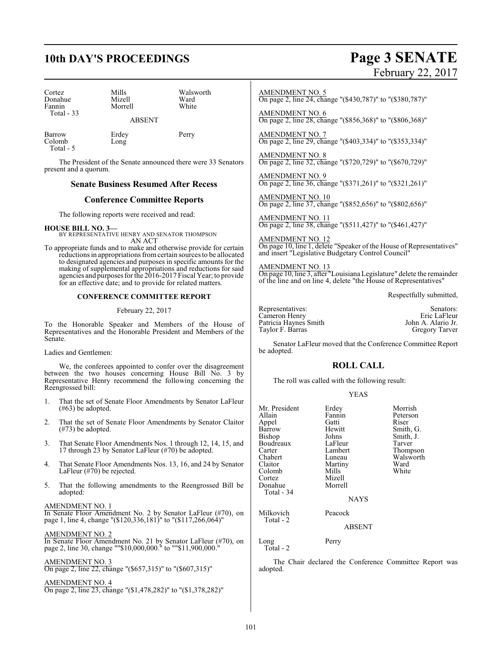# **10th DAY'S PROCEEDINGS Page 3 SENATE**

| Cortez<br>Donahue<br>Fannin<br>Total $-33$ | Mills<br>Mizell<br>Morrell | Walsworth<br>Ward<br>White |
|--------------------------------------------|----------------------------|----------------------------|
|                                            | <b>ABSENT</b>              |                            |

Barrow Erdey Perry Colomb Long Total - 5

The President of the Senate announced there were 33 Senators present and a quorum.

## **Senate Business Resumed After Recess**

#### **Conference Committee Reports**

The following reports were received and read:

**HOUSE BILL NO. 3—** BY REPRESENTATIVE HENRY AND SENATOR THOMPSON AN ACT

To appropriate funds and to make and otherwise provide for certain reductions in appropriations fromcertain sources to be allocated to designated agencies and purposes in specific amounts for the making of supplemental appropriations and reductions for said agencies and purposes for the 2016-2017 Fiscal Year; to provide for an effective date; and to provide for related matters.

#### **CONFERENCE COMMITTEE REPORT**

February 22, 2017

To the Honorable Speaker and Members of the House of Representatives and the Honorable President and Members of the Senate.

Ladies and Gentlemen:

We, the conferees appointed to confer over the disagreement between the two houses concerning House Bill No. 3 by Representative Henry recommend the following concerning the Reengrossed bill:

- 1. That the set of Senate Floor Amendments by Senator LaFleur (#63) be adopted.
- 2. That the set of Senate Floor Amendments by Senator Claitor (#73) be adopted.
- 3. That Senate Floor Amendments Nos. 1 through 12, 14, 15, and 17 through 23 by Senator LaFleur (#70) be adopted.
- 4. That Senate Floor Amendments Nos. 13, 16, and 24 by Senator LaFleur (#70) be rejected.
- 5. That the following amendments to the Reengrossed Bill be adopted:

#### AMENDMENT NO. 1

In Senate Floor Amendment No. 2 by Senator LaFleur (#70), on page 1, line 4, change "(\$120,336,181)" to "(\$117,266,064)"

#### AMENDMENT NO. 2

In Senate Floor Amendment No. 21 by Senator LaFleur (#70), on page 2, line 30, change ""\$10,000,000." to ""\$11,900,000."

#### AMENDMENT NO. 3

On page 2, line 22, change "(\$657,315)" to "(\$607,315)"

AMENDMENT NO. 4

On page 2, line 23, change "(\$1,478,282)" to "(\$1,378,282)"

# February 22, 2017

#### AMENDMENT NO. 5

On page 2, line 24, change "(\$430,787)" to "(\$380,787)"

AMENDMENT NO. 6 On page 2, line 28, change "(\$856,368)" to "(\$806,368)"

AMENDMENT NO. 7 On page 2, line 29, change "(\$403,334)" to "(\$353,334)"

AMENDMENT NO. 8 On page 2, line 32, change "(\$720,729)" to "(\$670,729)"

AMENDMENT NO. 9 On page 2, line 36, change "(\$371,261)" to "(\$321,261)"

AMENDMENT NO. 10 On page 2, line 37, change "(\$852,656)" to "(\$802,656)"

AMENDMENT NO. 11 On page 2, line 38, change "(\$511,427)" to "(\$461,427)"

AMENDMENT NO. 12 On page 10, line 1, delete "Speaker of the House of Representatives" and insert "Legislative Budgetary Control Council"

AMENDMENT NO. 13 On page 10, line 3, after "Louisiana Legislature" delete the remainder of the line and on line 4, delete "the House of Representatives"

Respectfully submitted,

| Representatives:      | Senators:             |
|-----------------------|-----------------------|
| Cameron Henry         | Eric LaFleur          |
| Patricia Haynes Smith | John A. Alario Jr.    |
| Taylor F. Barras      | <b>Gregory Tarver</b> |

Senator LaFleur moved that the Conference Committee Report be adopted.

## **ROLL CALL**

The roll was called with the following result:

#### YEAS

| Mr. President<br>Allain<br>Appel<br>Barrow<br>Bishop<br>Boudreaux<br>Carter<br>Chabert<br>Claitor | Erdey<br>Fannin<br>Gatti<br>Hewitt<br>Johns<br>LaFleur<br>Lambert<br>Luneau<br>Martiny | Morrish<br>Peterson<br>Riser<br>Smith, G.<br>Smith, J.<br>Tarver<br>Thompson<br>Walsworth<br>Ward |
|---------------------------------------------------------------------------------------------------|----------------------------------------------------------------------------------------|---------------------------------------------------------------------------------------------------|
| Colomb<br>Cortez<br>Donahue                                                                       | Mills<br>Mizell<br>Morrell                                                             | White                                                                                             |
| Total - 34                                                                                        | <b>NAYS</b>                                                                            |                                                                                                   |
| Milkovich<br>Total - 2                                                                            | Peacock<br><b>ABSENT</b>                                                               |                                                                                                   |
| Long                                                                                              | Perry                                                                                  |                                                                                                   |

Total - 2

The Chair declared the Conference Committee Report was adopted.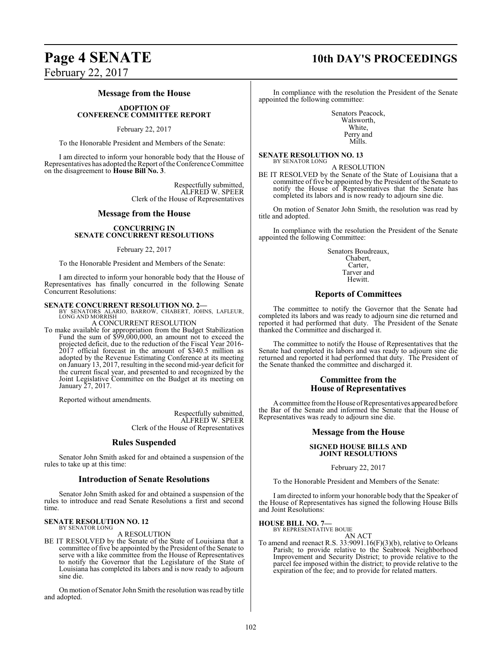# **Page 4 SENATE 10th DAY'S PROCEEDINGS**

February 22, 2017

#### **Message from the House**

#### **ADOPTION OF CONFERENCE COMMITTEE REPORT**

February 22, 2017

To the Honorable President and Members of the Senate:

I am directed to inform your honorable body that the House of Representatives has adopted the Report ofthe Conference Committee on the disagreement to **House Bill No. 3**.

> Respectfully submitted, ALFRED W. SPEER Clerk of the House of Representatives

#### **Message from the House**

#### **CONCURRING IN SENATE CONCURRENT RESOLUTIONS**

February 22, 2017

To the Honorable President and Members of the Senate:

I am directed to inform your honorable body that the House of Representatives has finally concurred in the following Senate Concurrent Resolutions:

**SENATE CONCURRENT RESOLUTION NO. 2—**<br>BY SENATORS ALARIO, BARROW, CHABERT, JOHNS, LAFLEUR,<br>LONG AND MORRISH A CONCURRENT RESOLUTION

To make available for appropriation from the Budget Stabilization Fund the sum of \$99,000,000, an amount not to exceed the projected deficit, due to the reduction of the Fiscal Year 2016- 2017 official forecast in the amount of \$340.5 million as adopted by the Revenue Estimating Conference at its meeting on January 13, 2017, resulting in the second mid-year deficit for the current fiscal year, and presented to and recognized by the Joint Legislative Committee on the Budget at its meeting on January 27, 2017.

Reported without amendments.

Respectfully submitted, ALFRED W. SPEER Clerk of the House of Representatives

#### **Rules Suspended**

Senator John Smith asked for and obtained a suspension of the rules to take up at this time:

#### **Introduction of Senate Resolutions**

Senator John Smith asked for and obtained a suspension of the rules to introduce and read Senate Resolutions a first and second time.

#### **SENATE RESOLUTION NO. 12** BY SENATOR LONG

A RESOLUTION

BE IT RESOLVED by the Senate of the State of Louisiana that a committee of five be appointed by the President of the Senate to serve with a like committee from the House of Representatives to notify the Governor that the Legislature of the State of Louisiana has completed its labors and is now ready to adjourn sine die.

On motion of Senator John Smith the resolution was read by title and adopted.

In compliance with the resolution the President of the Senate appointed the following committee:

> Senators Peacock, Walsworth, White, Perry and Mills.

#### **SENATE RESOLUTION NO. 13** BY SENATOR LONG

A RESOLUTION BE IT RESOLVED by the Senate of the State of Louisiana that a committee of five be appointed by the President of the Senate to notify the House of Representatives that the Senate has completed its labors and is now ready to adjourn sine die.

On motion of Senator John Smith, the resolution was read by title and adopted.

In compliance with the resolution the President of the Senate appointed the following Committee:

> Senators Boudreaux, Chabert, Carter, Tarver and Hewitt.

## **Reports of Committees**

The committee to notify the Governor that the Senate had completed its labors and was ready to adjourn sine die returned and reported it had performed that duty. The President of the Senate thanked the Committee and discharged it.

The committee to notify the House of Representatives that the Senate had completed its labors and was ready to adjourn sine die returned and reported it had performed that duty. The President of the Senate thanked the committee and discharged it.

#### **Committee from the House of Representatives**

A committee from the House of Representatives appeared before the Bar of the Senate and informed the Senate that the House of Representatives was ready to adjourn sine die.

### **Message from the House**

#### **SIGNED HOUSE BILLS AND JOINT RESOLUTIONS**

February 22, 2017

To the Honorable President and Members of the Senate:

I am directed to inform your honorable body that the Speaker of the House of Representatives has signed the following House Bills and Joint Resolutions:

## **HOUSE BILL NO. 7—**

BY REPRESENTATIVE BOUIE AN ACT

To amend and reenact R.S. 33:9091.16(F)(3)(b), relative to Orleans Parish; to provide relative to the Seabrook Neighborhood Improvement and Security District; to provide relative to the parcel fee imposed within the district; to provide relative to the expiration of the fee; and to provide for related matters.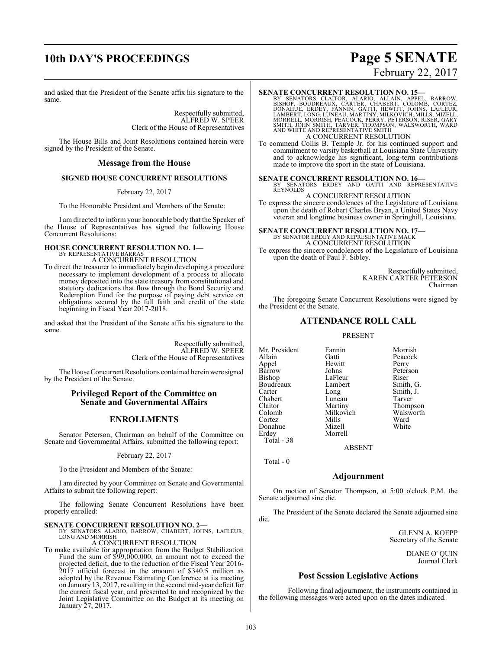# **10th DAY'S PROCEEDINGS Page 5 SENATE**

# February 22, 2017

and asked that the President of the Senate affix his signature to the same.

> Respectfully submitted, ALFRED W. SPEER Clerk of the House of Representatives

The House Bills and Joint Resolutions contained herein were signed by the President of the Senate.

#### **Message from the House**

#### **SIGNED HOUSE CONCURRENT RESOLUTIONS**

#### February 22, 2017

To the Honorable President and Members of the Senate:

I am directed to inform your honorable body that the Speaker of the House of Representatives has signed the following House Concurrent Resolutions:

#### **HOUSE CONCURRENT RESOLUTION NO. 1—** BY REPRESENTATIVE BARRAS

A CONCURRENT RESOLUTION

To direct the treasurer to immediately begin developing a procedure necessary to implement development of a process to allocate money deposited into the state treasury from constitutional and statutory dedications that flow through the Bond Security and Redemption Fund for the purpose of paying debt service on obligations secured by the full faith and credit of the state beginning in Fiscal Year 2017-2018.

and asked that the President of the Senate affix his signature to the same.

> Respectfully submitted, ALFRED W. SPEER Clerk of the House of Representatives

The House Concurrent Resolutions contained herein were signed by the President of the Senate.

#### **Privileged Report of the Committee on Senate and Governmental Affairs**

## **ENROLLMENTS**

Senator Peterson, Chairman on behalf of the Committee on Senate and Governmental Affairs, submitted the following report:

February 22, 2017

To the President and Members of the Senate:

I am directed by your Committee on Senate and Governmental Affairs to submit the following report:

The following Senate Concurrent Resolutions have been properly enrolled:

#### **SENATE CONCURRENT RESOLUTION NO. 2—**

BY SENATORS ALARIO, BARROW, CHABERT, JOHNS, LAFLEUR, LONG AND MORRISH

#### A CONCURRENT RESOLUTION

To make available for appropriation from the Budget Stabilization Fund the sum of \$99,000,000, an amount not to exceed the projected deficit, due to the reduction of the Fiscal Year 2016- 2017 official forecast in the amount of \$340.5 million as adopted by the Revenue Estimating Conference at its meeting on January 13, 2017, resulting in the second mid-year deficit for the current fiscal year, and presented to and recognized by the Joint Legislative Committee on the Budget at its meeting on January 27, 2017.

#### **SENATE CONCURRENT RESOLUTION NO. 15—**

BY SENATORS CLAITOR, ALARIO, ALLAIN, APPEL, BARROW,<br>BISHOP, BOUDREAUX, CARTER, CHABERT, COLOMB, CORTEZ,<br>DONAHUE, ERDEY, FANNIN, GATTI, HEWITT, JOHNS, LAFLEUR,<br>LAMBERT,LONG,LUNEAU,MARTINY,MILKOVICH,MILLS,MIZELL,<br>MORRELL,MOR A CONCURRENT RESOLUTION

To commend Collis B. Temple Jr. for his continued support and commitment to varsity basketball at Louisiana State University and to acknowledge his significant, long-term contributions made to improve the sport in the state of Louisiana.

#### **SENATE CONCURRENT RESOLUTION NO. 16—**

BY SENATORS ERDEY AND GATTI AND REPRESENTATIVE REYNOLDS A CONCURRENT RESOLUTION

To express the sincere condolences of the Legislature of Louisiana upon the death of Robert Charles Bryan, a United States Navy veteran and longtime business owner in Springhill, Louisiana.

## **SENATE CONCURRENT RESOLUTION NO. 17—** BY SENATOR ERDEY AND REPRESENTATIVE MACK A CONCURRENT RESOLUTION

To express the sincere condolences of the Legislature of Louisiana upon the death of Paul F. Sibley.

> Respectfully submitted, KAREN CARTER PETERSON Chairman

The foregoing Senate Concurrent Resolutions were signed by the President of the Senate.

## **ATTENDANCE ROLL CALL**

#### PRESENT

Mr. President Fannin Morrish<br>Allain Gatti Peacock Appel Hewitt<br>Barrow Johns Barrow Johns Peterson<br>Bishop LaFleur Riser Boudreaux Lamb<br>Carter Long Chabert Luneau<br>Claitor Martiny Claitor Martiny Thompson Cortez Mills Ward Donahue Erdey Morrell Total - 38

Gatti Peacock<br>
Hewitt Perry LaFleur Riser<br>Lambert Smith, G. Long Smith, J.<br>Luneau Tarver Milkovich Walsworth<br>
Mills Ward

ABSENT

Total - 0

#### **Adjournment**

On motion of Senator Thompson, at 5:00 o'clock P.M. the Senate adjourned sine die.

The President of the Senate declared the Senate adjourned sine die.

> GLENN A. KOEPP Secretary of the Senate

> > DIANE O' QUIN Journal Clerk

#### **Post Session Legislative Actions**

Following final adjournment, the instruments contained in the following messages were acted upon on the dates indicated.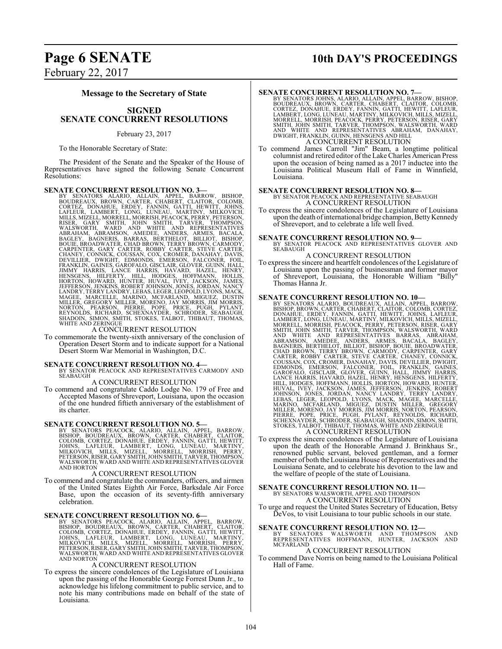# **Page 6 SENATE 10th DAY'S PROCEEDINGS**

February 22, 2017

#### **Message to the Secretary of State**

## **SIGNED SENATE CONCURRENT RESOLUTIONS**

February 23, 2017

To the Honorable Secretary of State:

The President of the Senate and the Speaker of the House of Representatives have signed the following Senate Concurrent Resolutions:

**SENATE CONCURRENT RESOLUTION NO. 3-**<br>BY SENATORS ALARIO, ALLAIN, APPEL, BARROW, BISHOP, BOUDREAUX, BROWN, CARTER, CHABERT, CLAITOR, COLOMB,<br>CORTEZ, DONAHUE, ERDEY, FANNIN, GATTI, HEWITT, JOHNS,<br>LAFLEUR, LAMBERT, LONG, LUN

To commemorate the twenty-sixth anniversary of the conclusion of Operation Desert Storm and to indicate support for a National Desert Storm War Memorial in Washington, D.C.

#### **SENATE CONCURRENT RESOLUTION NO. 4—**

BY SENATOR PEACOCK AND REPRESENTATIVES CARMODY AND SEABAUGH

A CONCURRENT RESOLUTION

To commend and congratulate Caddo Lodge No. 179 of Free and Accepted Masons of Shreveport, Louisiana, upon the occasion of the one hundred fiftieth anniversary of the establishment of its charter.

#### **SENATE CONCURRENT RESOLUTION NO. 5—**

BY SENATORS PEACOCK, ALARIO, ALLAIN, APPEL, BARROW,<br>BISHOP, BOUDREAUX, BROWN, CARTER, CHABERT, CLAITOR,<br>COLOMB, CORTEZ, DONAHUE, ERDEY, FANNIN, GATTI, HEWITT,<br>JOHNS, LAFLEUR, LAMBERT, LONG, LUNEAU, MALSINY,<br>MILKOVICH, MILL

#### A CONCURRENT RESOLUTION

To commend and congratulate the commanders, officers, and airmen of the United States Eighth Air Force, Barksdale Air Force Base, upon the occasion of its seventy-fifth anniversary celebration.

SENATE CONCURRENT RESOLUTION NO. 6-<br>BY SENATORS PEACOCK, ALARIO, ALLAIN, APPEL, BARROW,<br>BISHOP, BOUDREAUX, BROWN, CARTER, CHABERT, CLAITOR,<br>COLOMB, CORTEZ, DONAHUE, ERDEY, FANNIN, GATTI, HEWITT,<br>JOHNS, LAFLEUR, LAMBERT, LO WALSWORTH, WARD AND WHITE AND REPRESENTATIVES GLOVER AND NORTON

#### A CONCURRENT RESOLUTION

To express the sincere condolences of the Legislature of Louisiana upon the passing of the Honorable George Forrest Dunn Jr., to acknowledge his lifelong commitment to public service, and to note his many contributions made on behalf of the state of Louisiana.

#### **SENATE CONCURRENT RESOLUTION NO. 7—**

- BY SENATORS JOHNS, ALARIO, ALLAIN, APPEL, BARROW, BISHOP,<br>BOUDREAUX, BROWN, CARTER, CHABERT, CLAITOR, COLOMB,<br>CORTEZ, DONAHUE, ERDEY, FANNIN, GATTI, HEWITT, LAFLEUR,<br>LAMBERT, LONG, LUNEAU, MARTINY, MILKOVICH, MILLS, MIZELL A CONCURRENT RESOLUTION
- To commend James Carroll "Jim" Beam, a longtime political columnist and retired editor of the Lake Charles American Press upon the occasion of being named as a 2017 inductee into the Louisiana Political Museum Hall of Fame in Winnfield, Louisiana.

**SENATE CONCURRENT RESOLUTION NO. 8—**<br>BY SENATOR PEACOCK AND REPRESENTATIVE SEABAUGH A CONCURRENT RESOLUTION

To express the sincere condolences of the Legislature of Louisiana upon the death of international bridge champion, Betty Kennedy of Shreveport, and to celebrate a life well lived.

## **SENATE CONCURRENT RESOLUTION NO. 9—**<br>BY SENATOR PEACOCK AND REPRESENTATIVES GLOVER AND

SEABAUGH A CONCURRENT RESOLUTION

To express the sincere and heartfelt condolences ofthe Legislature of Louisiana upon the passing of businessman and former mayor of Shreveport, Louisiana, the Honorable William "Billy" Thomas Hanna Jr.

- **SENATE CONCURRENT RESOLUTION NO. 10—**<br>BY SENATORS ALARIO, BOUDREAUX, ALLAIN, APPEL, BARROW,<br>BISHOP, BROWN, CARTER, CHABERT, CLAITOR, COLOMB, CORTEZ,<br>DONAHUE, ERDEY, FANNIN, GATTI, HEWITT, JOHNS, LAMBERT, LOMBERT, LOMENCI,
- To express the sincere condolences of the Legislature of Louisiana upon the death of the Honorable Armand J. Brinkhaus Sr., renowned public servant, beloved gentleman, and a former member of both the Louisiana House of Representatives and the Louisiana Senate, and to celebrate his devotion to the law and the welfare of people of the state of Louisiana.

# **SENATE CONCURRENT RESOLUTION NO. 11—**<br>BY SENATORS WALSWORTH, APPEL AND THOMPSON<br>A CONCURRENT RESOLUTION

To urge and request the United States Secretary of Education, Betsy DeVos, to visit Louisiana to tour public schools in our state.

**SENATE CONCURRENT RESOLUTION NO. 12—**<br>BY SENATORS WALSWORTH AND THOMPSON AND<br>REPRESENTATIVES HOFFMANN, HUNTER, JACKSON AND **MCFARLAND** A CONCURRENT RESOLUTION

To commend Dave Norris on being named to the Louisiana Political Hall of Fame.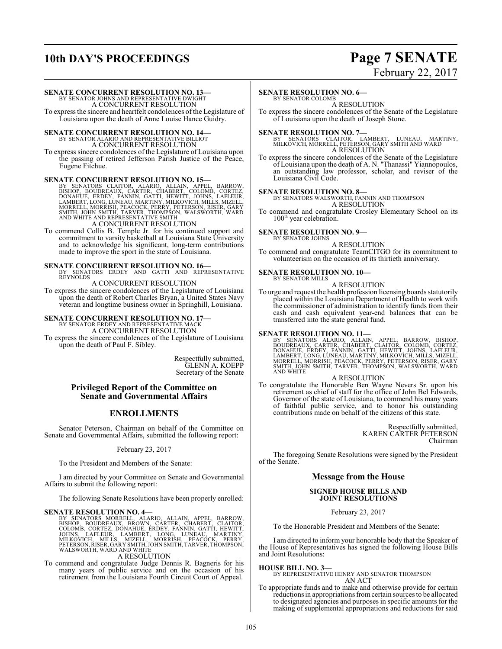# **10th DAY'S PROCEEDINGS Page 7 SENATE**

# February 22, 2017

#### **SENATE CONCURRENT RESOLUTION NO. 13—**

BY SENATOR JOHNS AND REPRESENTATIVE DWIGHT A CONCURRENT RESOLUTION

To express the sincere and heartfelt condolences of the Legislature of Louisiana upon the death of Anne Louise Hance Guidry.

## **SENATE CONCURRENT RESOLUTION NO. 14—** BY SENATOR ALARIO AND REPRESENTATIVE BILLIOT

A CONCURRENT RESOLUTION

To express sincere condolences of the Legislature of Louisiana upon the passing of retired Jefferson Parish Justice of the Peace, Eugene Fitchue.

SENATE CONCURRENT RESOLUTION NO. 15—<br>BY SENATORS CLAITOR, ALARIO, ALLAIN, APPEL, BARROW, BISHOP, BOUDREAUX, CARTER, CHABERT, COLOMB, CORTEZ,<br>DONAHUE, ERDEY, FANNIN, GATTI, HEWITT, JOHNS, LAFLEUR,<br>LAMBERT, LONG, LUNEAU, MAR

To commend Collis B. Temple Jr. for his continued support and commitment to varsity basketball at Louisiana State University and to acknowledge his significant, long-term contributions made to improve the sport in the state of Louisiana.

**SENATE CONCURRENT RESOLUTION NO. 16—**<br>BY SENATORS ERDEY AND GATTI AND REPRESENTATIVE<br>REYNOLDS

A CONCURRENT RESOLUTION

To express the sincere condolences of the Legislature of Louisiana upon the death of Robert Charles Bryan, a United States Navy veteran and longtime business owner in Springhill, Louisiana.

# **SENATE CONCURRENT RESOLUTION NO. 17—** BY SENATOR ERDEY AND REPRESENTATIVE MACK

A CONCURRENT RESOLUTION

To express the sincere condolences of the Legislature of Louisiana upon the death of Paul F. Sibley.

> Respectfully submitted, GLENN A. KOEPP Secretary of the Senate

#### **Privileged Report of the Committee on Senate and Governmental Affairs**

## **ENROLLMENTS**

Senator Peterson, Chairman on behalf of the Committee on Senate and Governmental Affairs, submitted the following report:

February 23, 2017

To the President and Members of the Senate:

I am directed by your Committee on Senate and Governmental Affairs to submit the following report:

The following Senate Resolutions have been properly enrolled:

SENATE RESOLUTION NO. 4—<br>BY SENATORS MORRELL, ALARIO, ALLAIN, APPEL, BARROW, BOSUDREAUX, BROWN, CARTER, CHABERT, CLAITOR,<br>COLOMB, CORTEZ, DONAHUE, ERDEY, FANNIN, GATTI, HEWITT,<br>JOHNS, LAFLEUR, LAMBERT, LONG, LUNEAU, MARTIN

A RESOLUTION

To commend and congratulate Judge Dennis R. Bagneris for his many years of public service and on the occasion of his retirement from the Louisiana Fourth Circuit Court of Appeal.

#### **SENATE RESOLUTION NO. 6—**

BY SENATOR COLOMB A RESOLUTION

To express the sincere condolences of the Senate of the Legislature of Louisiana upon the death of Joseph Stone.

**SENATE RESOLUTION NO. 7—**<br>BY SENATORS CLAITOR, LAMBERT, LUNEAU, MARTINY,<br>MILKOVICH, MORRELL, PETERSON, GARY SMITH AND WARD<br>A RESOLUTION

To express the sincere condolences of the Senate of the Legislature of Louisiana upon the death of A. N. "Thanassi" Yiannopoulos, an outstanding law professor, scholar, and reviser of the Louisiana Civil Code.

#### **SENATE RESOLUTION NO. 8—**

BY SENATORS WALSWORTH, FANNIN AND THOMPSON A RESOLUTION

To commend and congratulate Crosley Elementary School on its 100<sup>th</sup> year celebration.

# **SENATE RESOLUTION NO. 9—**<br>BY SENATOR JOHNS

A RESOLUTION

To commend and congratulate TeamCITGO for its commitment to volunteerism on the occasion of its thirtieth anniversary.

#### **SENATE RESOLUTION NO. 10—** BY SENATOR MILLS

A RESOLUTION

To urge and request the health profession licensing boards statutorily placed within the Louisiana Department of Health to work with the commissioner of administration to identify funds from their cash and cash equivalent year-end balances that can be transferred into the state general fund.

SENATE RESOLUTION NO. 11—<br>BY SENATORS ALARIO, ALLAIN, APPEL, BARROW, BISHOP, BOUDREAUX, CARTER, CHABERT, CLAITOR, COLOMB, CORTEZ,<br>DONAHUE, ERDEY, FANNIN, GATTI, HEWITT, JOHNS, LAFLEUR,<br>LAMBERT, LONG, LUNEAU, MARTINY, MILKO AND WHITE

#### A RESOLUTION

To congratulate the Honorable Ben Wayne Nevers Sr. upon his retirement as chief of staff for the office of John Bel Edwards, Governor of the state of Louisiana, to commend his many years of faithful public service, and to honor his outstanding contributions made on behalf of the citizens of this state.

> Respectfully submitted, KAREN CARTER PETERSON Chairman

The foregoing Senate Resolutions were signed by the President of the Senate.

## **Message from the House**

#### **SIGNED HOUSE BILLS AND JOINT RESOLUTIONS**

February 23, 2017

To the Honorable President and Members of the Senate:

I am directed to inform your honorable body that the Speaker of the House of Representatives has signed the following House Bills and Joint Resolutions:

#### **HOUSE BILL NO. 3—**

BY REPRESENTATIVE HENRY AND SENATOR THOMPSON AN ACT

To appropriate funds and to make and otherwise provide for certain reductions in appropriations from certain sources to be allocated to designated agencies and purposes in specific amounts for the making of supplemental appropriations and reductions for said